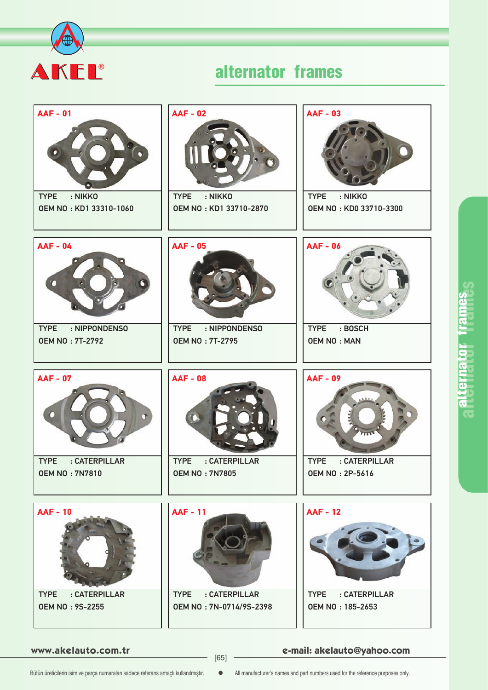

# alternator frames

| <b>AAF - 01</b>                                       | <b>AAF - 02</b>                                             | <b>AAF - 03</b>                                         |
|-------------------------------------------------------|-------------------------------------------------------------|---------------------------------------------------------|
| <b>TYPE</b>                                           | : NIKKO                                                     | : NIKKO                                                 |
| : NIKKO                                               | <b>TYPE</b>                                                 | <b>TYPE</b>                                             |
| OEM NO: KD1 33310-1060                                | OEM NO: KD1 33710-2870                                      | OEM NO: KD0 33710-3300                                  |
| $AAF - 04$                                            | <b>AAF - 05</b>                                             | <b>AAF - 06</b>                                         |
| <b>TYPE</b>                                           | <b>TYPE</b>                                                 | : BOSCH                                                 |
| : NIPPONDENSO                                         | : NIPPONDENSO                                               | <b>TYPE</b>                                             |
| <b>OEM NO: 7T-2792</b>                                | <b>OEM NO: 7T-2795</b>                                      | <b>OEM NO: MAN</b>                                      |
| <b>AAF - 07</b>                                       | <b>AAF - 08</b>                                             | <b>AAF - 09</b>                                         |
| <b>TYPE</b><br>: CATERPILLAR<br><b>OEM NO: 7N7810</b> | O<br><b>TYPE</b><br>: CATERPILLAR<br><b>OEM NO : 7N7805</b> | <b>TYPE</b><br>: CATERPILLAR<br><b>OEM NO : 2P-5616</b> |

**www.akelauto.com.tr e-mail: akelauto@yahoo.com** [65]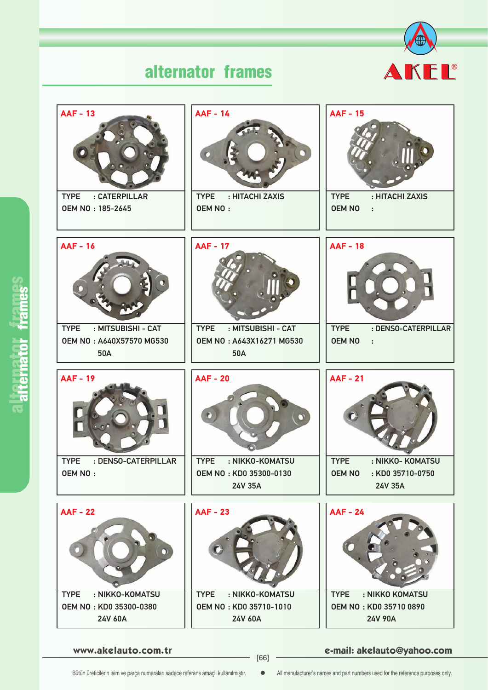# alternator frames



| <b>AAF - 13</b><br><b>TYPE</b><br>: CATERPILLAR<br>OEM NO: 185-2645                                   | <b>AAF - 14</b><br><b>TYPE</b><br>: HITACHI ZAXIS<br><b>OEM NO:</b>                                   | <b>AAF - 15</b><br><b>TYPE</b><br>: HITACHI ZAXIS<br><b>OEM NO</b><br>÷.        |
|-------------------------------------------------------------------------------------------------------|-------------------------------------------------------------------------------------------------------|---------------------------------------------------------------------------------|
| <b>AAF - 16</b><br>: MITSUBISHI - CAT<br><b>TYPE</b><br><b>OEM NO: A640X57570 MG530</b><br><b>50A</b> | <b>AAF - 17</b><br>: MITSUBISHI - CAT<br><b>TYPE</b><br><b>OEM NO: A643X16271 MG530</b><br><b>50A</b> | <b>AAF - 18</b><br>: DENSO-CATERPILLAR<br><b>TYPE</b><br><b>OEM NO</b><br>÷     |
| <b>AAF - 19</b>                                                                                       | <b>AAF - 20</b>                                                                                       | <b>AAF - 21</b>                                                                 |
| <b>TYPE</b><br>: DENSO-CATERPILLAR<br><b>OEM NO:</b>                                                  | <b>TYPE</b><br>: NIKKO-KOMATSU<br>OEM NO: KD0 35300-0130<br>24V 35A                                   | <b>TYPE</b><br>: NIKKO- KOMATSU<br><b>OEM NO</b><br>: KD0 35710-0750<br>24V 35A |

**www.akelauto.com.tr e-mail: akelauto@yahoo.com** [66]

Bütün üreticilerin isim ve parça numaraları sadece referans amaçlı kullanılmıştır.  $\bullet$  All manufacturer's names and part numbers used for the reference purposes only.